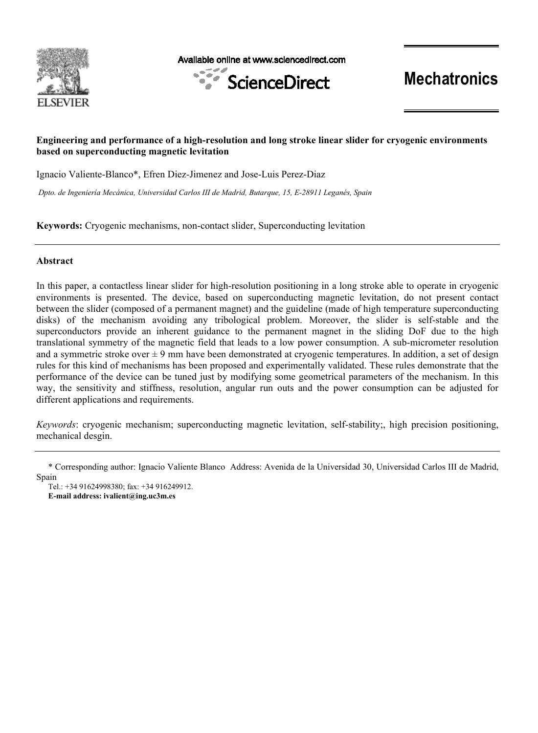

Available online at www.sciencedirect.com



**Mechatronics**

# **Engineering and performance of a high-resolution and long stroke linear slider for cryogenic environments based on superconducting magnetic levitation**

Ignacio Valiente-Blanco\*, Efren Diez-Jimenez and Jose-Luis Perez-Diaz

*Dpto. de Ingeniería Mecánica, Universidad Carlos III de Madrid, Butarque, 15, E-28911 Leganés, Spain* 

**Keywords:** Cryogenic mechanisms, non-contact slider, Superconducting levitation

# **Abstract**

In this paper, a contactless linear slider for high-resolution positioning in a long stroke able to operate in cryogenic environments is presented. The device, based on superconducting magnetic levitation, do not present contact between the slider (composed of a permanent magnet) and the guideline (made of high temperature superconducting disks) of the mechanism avoiding any tribological problem. Moreover, the slider is self-stable and the superconductors provide an inherent guidance to the permanent magnet in the sliding DoF due to the high translational symmetry of the magnetic field that leads to a low power consumption. A sub-micrometer resolution and a symmetric stroke over  $\pm 9$  mm have been demonstrated at cryogenic temperatures. In addition, a set of design rules for this kind of mechanisms has been proposed and experimentally validated. These rules demonstrate that the performance of the device can be tuned just by modifying some geometrical parameters of the mechanism. In this way, the sensitivity and stiffness, resolution, angular run outs and the power consumption can be adjusted for different applications and requirements.

*Keywords*: cryogenic mechanism; superconducting magnetic levitation, self-stability;, high precision positioning, mechanical desgin.

<sup>\*</sup> Corresponding author: Ignacio Valiente Blanco Address: Avenida de la Universidad 30, Universidad Carlos III de Madrid, Spain

Tel.: +34 91624998380; fax: +34 916249912. **E-mail address: ivalient@ing.uc3m.es**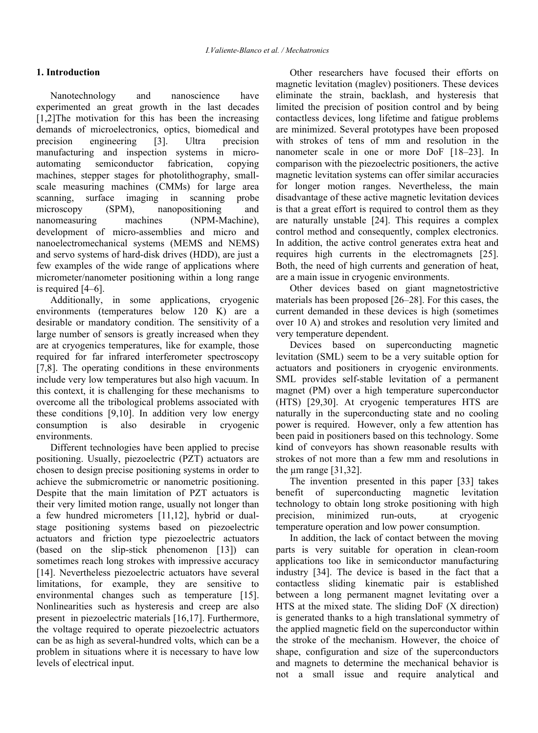# **1. Introduction**

Nanotechnology and nanoscience have experimented an great growth in the last decades [1,2]The motivation for this has been the increasing demands of microelectronics, optics, biomedical and precision engineering [3]. Ultra precision manufacturing and inspection systems in microautomating semiconductor fabrication, copying machines, stepper stages for photolithography, smallscale measuring machines (CMMs) for large area scanning, surface imaging in scanning probe microscopy (SPM), nanopositioning and nanomeasuring machines (NPM-Machine), development of micro-assemblies and micro and nanoelectromechanical systems (MEMS and NEMS) and servo systems of hard-disk drives (HDD), are just a few examples of the wide range of applications where micrometer/nanometer positioning within a long range is required [4–6].

Additionally, in some applications, cryogenic environments (temperatures below 120 K) are a desirable or mandatory condition. The sensitivity of a large number of sensors is greatly increased when they are at cryogenics temperatures, like for example, those required for far infrared interferometer spectroscopy [7,8]. The operating conditions in these environments include very low temperatures but also high vacuum. In this context, it is challenging for these mechanisms to overcome all the tribological problems associated with these conditions [9,10]. In addition very low energy consumption is also desirable in cryogenic environments.

Different technologies have been applied to precise positioning. Usually, piezoelectric (PZT) actuators are chosen to design precise positioning systems in order to achieve the submicrometric or nanometric positioning. Despite that the main limitation of PZT actuators is their very limited motion range, usually not longer than a few hundred micrometers [11,12], hybrid or dualstage positioning systems based on piezoelectric actuators and friction type piezoelectric actuators (based on the slip-stick phenomenon [13]) can sometimes reach long strokes with impressive accuracy [14]. Nevertheless piezoelectric actuators have several limitations, for example, they are sensitive to environmental changes such as temperature [15]. Nonlinearities such as hysteresis and creep are also present in piezoelectric materials [16,17]. Furthermore, the voltage required to operate piezoelectric actuators can be as high as several-hundred volts, which can be a problem in situations where it is necessary to have low levels of electrical input.

Other researchers have focused their efforts on magnetic levitation (maglev) positioners. These devices eliminate the strain, backlash, and hysteresis that limited the precision of position control and by being contactless devices, long lifetime and fatigue problems are minimized. Several prototypes have been proposed with strokes of tens of mm and resolution in the nanometer scale in one or more DoF [18–23]. In comparison with the piezoelectric positioners, the active magnetic levitation systems can offer similar accuracies for longer motion ranges. Nevertheless, the main disadvantage of these active magnetic levitation devices is that a great effort is required to control them as they are naturally unstable [24]. This requires a complex control method and consequently, complex electronics. In addition, the active control generates extra heat and requires high currents in the electromagnets [25]. Both, the need of high currents and generation of heat, are a main issue in cryogenic environments.

Other devices based on giant magnetostrictive materials has been proposed [26–28]. For this cases, the current demanded in these devices is high (sometimes over 10 A) and strokes and resolution very limited and very temperature dependent.

Devices based on superconducting magnetic levitation (SML) seem to be a very suitable option for actuators and positioners in cryogenic environments. SML provides self-stable levitation of a permanent magnet (PM) over a high temperature superconductor (HTS) [29,30]. At cryogenic temperatures HTS are naturally in the superconducting state and no cooling power is required. However, only a few attention has been paid in positioners based on this technology. Some kind of conveyors has shown reasonable results with strokes of not more than a few mm and resolutions in the  $\mu$ m range [31,32].

The invention presented in this paper [33] takes benefit of superconducting magnetic levitation technology to obtain long stroke positioning with high precision, minimized run-outs, at cryogenic temperature operation and low power consumption.

In addition, the lack of contact between the moving parts is very suitable for operation in clean-room applications too like in semiconductor manufacturing industry [34]. The device is based in the fact that a contactless sliding kinematic pair is established between a long permanent magnet levitating over a HTS at the mixed state. The sliding DoF (X direction) is generated thanks to a high translational symmetry of the applied magnetic field on the superconductor within the stroke of the mechanism. However, the choice of shape, configuration and size of the superconductors and magnets to determine the mechanical behavior is not a small issue and require analytical and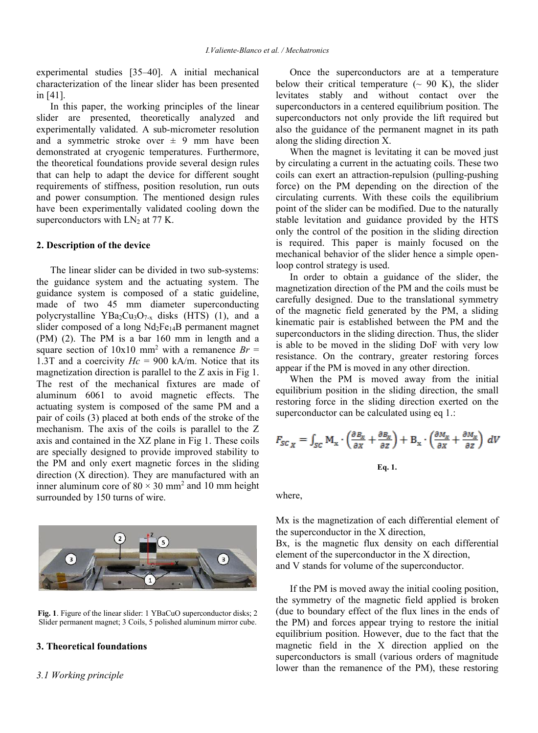experimental studies [35–40]. A initial mechanical characterization of the linear slider has been presented in [41].

In this paper, the working principles of the linear slider are presented, theoretically analyzed and experimentally validated. A sub-micrometer resolution and a symmetric stroke over  $\pm$  9 mm have been demonstrated at cryogenic temperatures. Furthermore, the theoretical foundations provide several design rules that can help to adapt the device for different sought requirements of stiffness, position resolution, run outs and power consumption. The mentioned design rules have been experimentally validated cooling down the superconductors with  $LN<sub>2</sub>$  at 77 K.

#### **2. Description of the device**

The linear slider can be divided in two sub-systems: the guidance system and the actuating system. The guidance system is composed of a static guideline, made of two 45 mm diameter superconducting polycrystalline  $YBa_2Cu_3O_{7-x}$  disks (HTS) (1), and a slider composed of a long Nd2Fe14B permanent magnet (PM) (2). The PM is a bar 160 mm in length and a square section of  $10x10$  mm<sup>2</sup> with a remanence  $Br =$ 1.3T and a coercivity  $Hc = 900$  kA/m. Notice that its magnetization direction is parallel to the Z axis in Fig 1. The rest of the mechanical fixtures are made of aluminum 6061 to avoid magnetic effects. The actuating system is composed of the same PM and a pair of coils (3) placed at both ends of the stroke of the mechanism. The axis of the coils is parallel to the Z axis and contained in the XZ plane in Fig 1. These coils are specially designed to provide improved stability to the PM and only exert magnetic forces in the sliding direction (X direction). They are manufactured with an inner aluminum core of  $80 \times 30$  mm<sup>2</sup> and 10 mm height surrounded by 150 turns of wire.



**Fig. 1**. Figure of the linear slider: 1 YBaCuO superconductor disks; 2 Slider permanent magnet; 3 Coils, 5 polished aluminum mirror cube.

# **3. Theoretical foundations**

# *3.1 Working principle*

Once the superconductors are at a temperature below their critical temperature  $({\sim 90 \text{ K}})$ , the slider levitates stably and without contact over the superconductors in a centered equilibrium position. The superconductors not only provide the lift required but also the guidance of the permanent magnet in its path along the sliding direction X.

When the magnet is levitating it can be moved just by circulating a current in the actuating coils. These two coils can exert an attraction-repulsion (pulling-pushing force) on the PM depending on the direction of the circulating currents. With these coils the equilibrium point of the slider can be modified. Due to the naturally stable levitation and guidance provided by the HTS only the control of the position in the sliding direction is required. This paper is mainly focused on the mechanical behavior of the slider hence a simple openloop control strategy is used.

In order to obtain a guidance of the slider, the magnetization direction of the PM and the coils must be carefully designed. Due to the translational symmetry of the magnetic field generated by the PM, a sliding kinematic pair is established between the PM and the superconductors in the sliding direction. Thus, the slider is able to be moved in the sliding DoF with very low resistance. On the contrary, greater restoring forces appear if the PM is moved in any other direction.

When the PM is moved away from the initial equilibrium position in the sliding direction, the small restoring force in the sliding direction exerted on the superconductor can be calculated using eq 1.:

$$
F_{SC_X} = \int_{SC} M_x \cdot \left(\frac{\partial B_x}{\partial X} + \frac{\partial B_x}{\partial Z}\right) + B_x \cdot \left(\frac{\partial M_x}{\partial X} + \frac{\partial M_x}{\partial Z}\right) dV
$$
  
Eq. 1.

where,

Mx is the magnetization of each differential element of the superconductor in the X direction, Bx, is the magnetic flux density on each differential element of the superconductor in the X direction, and V stands for volume of the superconductor.

If the PM is moved away the initial cooling position, the symmetry of the magnetic field applied is broken (due to boundary effect of the flux lines in the ends of the PM) and forces appear trying to restore the initial equilibrium position. However, due to the fact that the magnetic field in the X direction applied on the superconductors is small (various orders of magnitude lower than the remanence of the PM), these restoring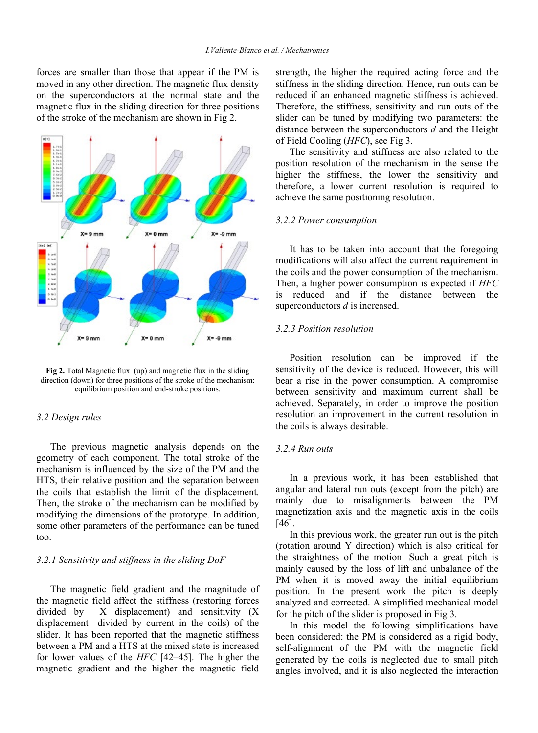forces are smaller than those that appear if the PM is moved in any other direction. The magnetic flux density on the superconductors at the normal state and the magnetic flux in the sliding direction for three positions of the stroke of the mechanism are shown in Fig 2.



**Fig 2.** Total Magnetic flux (up) and magnetic flux in the sliding direction (down) for three positions of the stroke of the mechanism: equilibrium position and end-stroke positions.

## *3.2 Design rules*

The previous magnetic analysis depends on the geometry of each component. The total stroke of the mechanism is influenced by the size of the PM and the HTS, their relative position and the separation between the coils that establish the limit of the displacement. Then, the stroke of the mechanism can be modified by modifying the dimensions of the prototype. In addition, some other parameters of the performance can be tuned too.

## *3.2.1 Sensitivity and stiffness in the sliding DoF*

The magnetic field gradient and the magnitude of the magnetic field affect the stiffness (restoring forces divided by X displacement) and sensitivity (X displacement divided by current in the coils) of the slider. It has been reported that the magnetic stiffness between a PM and a HTS at the mixed state is increased for lower values of the *HFC* [42–45]. The higher the magnetic gradient and the higher the magnetic field

strength, the higher the required acting force and the stiffness in the sliding direction. Hence, run outs can be reduced if an enhanced magnetic stiffness is achieved. Therefore, the stiffness, sensitivity and run outs of the slider can be tuned by modifying two parameters: the distance between the superconductors *d* and the Height of Field Cooling (*HFC*), see Fig 3.

The sensitivity and stiffness are also related to the position resolution of the mechanism in the sense the higher the stiffness, the lower the sensitivity and therefore, a lower current resolution is required to achieve the same positioning resolution.

#### *3.2.2 Power consumption*

It has to be taken into account that the foregoing modifications will also affect the current requirement in the coils and the power consumption of the mechanism. Then, a higher power consumption is expected if *HFC* is reduced and if the distance between the superconductors *d* is increased.

#### *3.2.3 Position resolution*

Position resolution can be improved if the sensitivity of the device is reduced. However, this will bear a rise in the power consumption. A compromise between sensitivity and maximum current shall be achieved. Separately, in order to improve the position resolution an improvement in the current resolution in the coils is always desirable.

#### *3.2.4 Run outs*

In a previous work, it has been established that angular and lateral run outs (except from the pitch) are mainly due to misalignments between the PM magnetization axis and the magnetic axis in the coils [46].

In this previous work, the greater run out is the pitch (rotation around Y direction) which is also critical for the straightness of the motion. Such a great pitch is mainly caused by the loss of lift and unbalance of the PM when it is moved away the initial equilibrium position. In the present work the pitch is deeply analyzed and corrected. A simplified mechanical model for the pitch of the slider is proposed in Fig 3.

In this model the following simplifications have been considered: the PM is considered as a rigid body, self-alignment of the PM with the magnetic field generated by the coils is neglected due to small pitch angles involved, and it is also neglected the interaction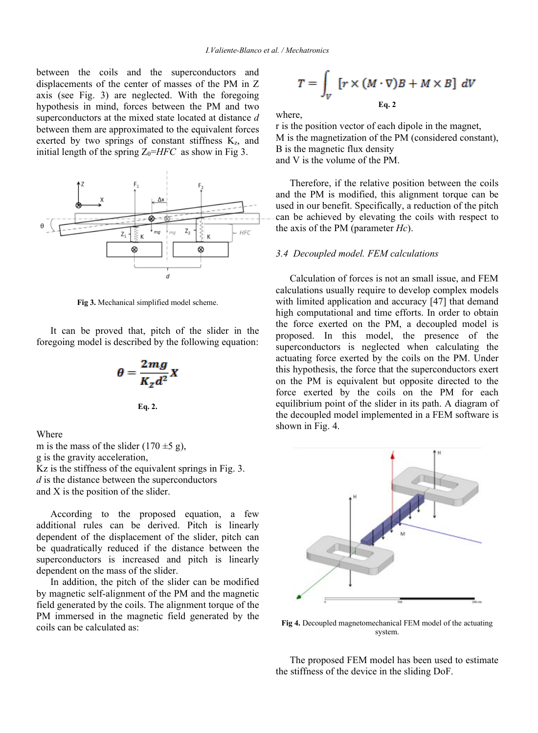between the coils and the superconductors and displacements of the center of masses of the PM in Z axis (see Fig. 3) are neglected. With the foregoing hypothesis in mind, forces between the PM and two superconductors at the mixed state located at distance *d* between them are approximated to the equivalent forces exerted by two springs of constant stiffness  $K_z$ , and initial length of the spring  $Z_0=HFC$  as show in Fig 3.



**Fig 3.** Mechanical simplified model scheme.

It can be proved that, pitch of the slider in the foregoing model is described by the following equation:

$$
\theta = \frac{2mg}{K_z d^2} X
$$
  
Eq. 2.

Where

m is the mass of the slider  $(170 \pm 5 \text{ g})$ , g is the gravity acceleration, Kz is the stiffness of the equivalent springs in Fig. 3. *d* is the distance between the superconductors and X is the position of the slider.

According to the proposed equation, a few additional rules can be derived. Pitch is linearly dependent of the displacement of the slider, pitch can be quadratically reduced if the distance between the superconductors is increased and pitch is linearly dependent on the mass of the slider.

In addition, the pitch of the slider can be modified by magnetic self-alignment of the PM and the magnetic field generated by the coils. The alignment torque of the PM immersed in the magnetic field generated by the coils can be calculated as:

$$
T = \int_{V} [r \times (M \cdot \nabla)B + M \times B] dV
$$
  
Eq. 2

where,

r is the position vector of each dipole in the magnet, M is the magnetization of the PM (considered constant), B is the magnetic flux density and V is the volume of the PM.

Therefore, if the relative position between the coils and the PM is modified, this alignment torque can be used in our benefit. Specifically, a reduction of the pitch can be achieved by elevating the coils with respect to the axis of the PM (parameter *Hc*).

#### *3.4 Decoupled model. FEM calculations*

Calculation of forces is not an small issue, and FEM calculations usually require to develop complex models with limited application and accuracy [47] that demand high computational and time efforts. In order to obtain the force exerted on the PM, a decoupled model is proposed. In this model, the presence of the superconductors is neglected when calculating the actuating force exerted by the coils on the PM. Under this hypothesis, the force that the superconductors exert on the PM is equivalent but opposite directed to the force exerted by the coils on the PM for each equilibrium point of the slider in its path. A diagram of the decoupled model implemented in a FEM software is shown in Fig. 4.



**Fig 4.** Decoupled magnetomechanical FEM model of the actuating system.

The proposed FEM model has been used to estimate the stiffness of the device in the sliding DoF.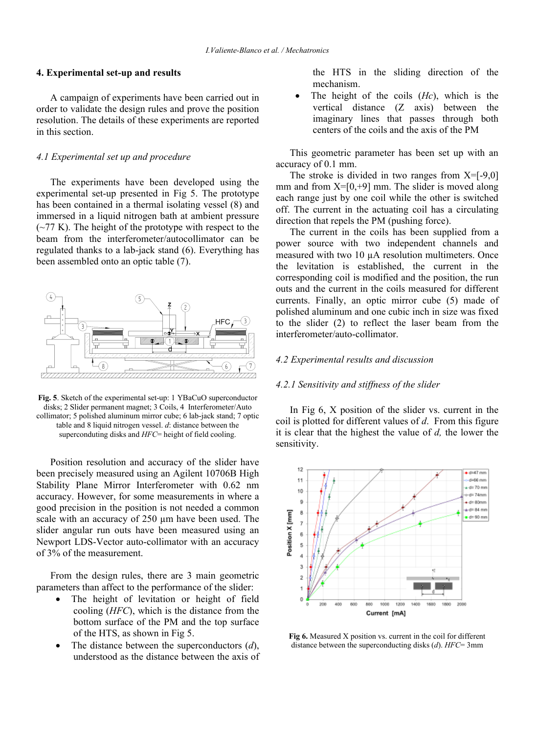#### **4. Experimental set-up and results**

A campaign of experiments have been carried out in order to validate the design rules and prove the position resolution. The details of these experiments are reported in this section.

#### *4.1 Experimental set up and procedure*

The experiments have been developed using the experimental set-up presented in Fig 5. The prototype has been contained in a thermal isolating vessel (8) and immersed in a liquid nitrogen bath at ambient pressure  $(-77 \text{ K})$ . The height of the prototype with respect to the beam from the interferometer/autocollimator can be regulated thanks to a lab-jack stand (6). Everything has been assembled onto an optic table (7).



**Fig. 5**. Sketch of the experimental set-up: 1 YBaCuO superconductor disks; 2 Slider permanent magnet; 3 Coils, 4 Interferometer/Auto collimator; 5 polished aluminum mirror cube; 6 lab-jack stand; 7 optic table and 8 liquid nitrogen vessel. *d*: distance between the superconduting disks and *HFC*= height of field cooling.

Position resolution and accuracy of the slider have been precisely measured using an Agilent 10706B High Stability Plane Mirror Interferometer with 0.62 nm accuracy. However, for some measurements in where a good precision in the position is not needed a common scale with an accuracy of 250  $\mu$ m have been used. The slider angular run outs have been measured using an Newport LDS-Vector auto-collimator with an accuracy of 3% of the measurement.

From the design rules, there are 3 main geometric parameters than affect to the performance of the slider:

- The height of levitation or height of field cooling (*HFC*), which is the distance from the bottom surface of the PM and the top surface of the HTS, as shown in Fig 5.
- The distance between the superconductors (*d*), understood as the distance between the axis of

the HTS in the sliding direction of the mechanism.

• The height of the coils (*Hc*), which is the vertical distance (Z axis) between the imaginary lines that passes through both centers of the coils and the axis of the PM

This geometric parameter has been set up with an accuracy of 0.1 mm.

The stroke is divided in two ranges from  $X = [-9,0]$ mm and from  $X=[0, +9]$  mm. The slider is moved along each range just by one coil while the other is switched off. The current in the actuating coil has a circulating direction that repels the PM (pushing force).

The current in the coils has been supplied from a power source with two independent channels and measured with two 10 µA resolution multimeters. Once the levitation is established, the current in the corresponding coil is modified and the position, the run outs and the current in the coils measured for different currents. Finally, an optic mirror cube (5) made of polished aluminum and one cubic inch in size was fixed to the slider (2) to reflect the laser beam from the interferometer/auto-collimator.

#### *4.2 Experimental results and discussion*

#### *4.2.1 Sensitivity and stiffness of the slider*

In Fig 6, X position of the slider vs. current in the coil is plotted for different values of *d*. From this figure it is clear that the highest the value of *d,* the lower the sensitivity.



**Fig 6.** Measured X position vs. current in the coil for different distance between the superconducting disks (*d*). *HFC*= 3mm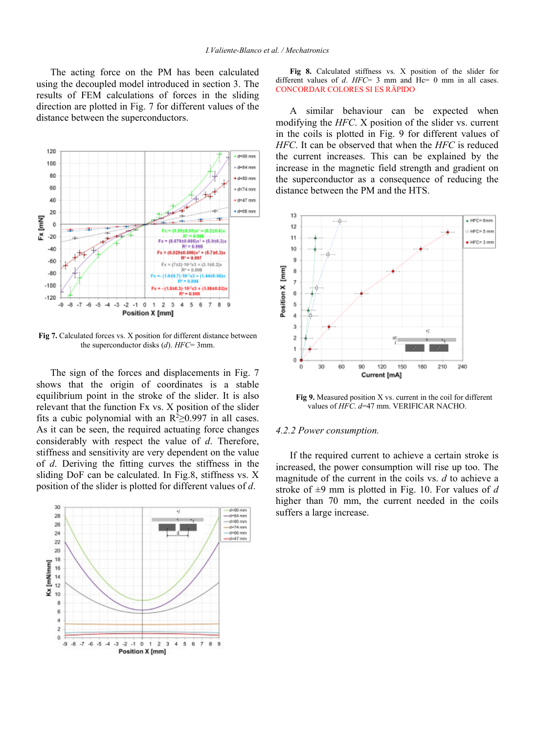The acting force on the PM has been calculated using the decoupled model introduced in section 3. The results of FEM calculations of forces in the sliding direction are plotted in Fig. 7 for different values of the distance between the superconductors.



Fig 7. Calculated forces vs. X position for different distance between the superconductor disks (*d*). *HFC*= 3mm.

The sign of the forces and displacements in Fig. 7 shows that the origin of coordinates is a stable equilibrium point in the stroke of the slider. It is also relevant that the function Fx vs. X position of the slider fits a cubic polynomial with an  $R^2 \ge 0.997$  in all cases. As it can be seen, the required actuating force changes considerably with respect the value of *d*. Therefore, stiffness and sensitivity are very dependent on the value of *d*. Deriving the fitting curves the stiffness in the sliding DoF can be calculated. In Fig.8, stiffness vs. X position of the slider is plotted for different values of *d*.



**Fig 8.** Calculated stiffness vs. X position of the slider for different values of *d. HFC*= 3 mm and Hc= 0 mm in all cases. CONCORDAR COLORES SI ES RÄPIDO

A similar behaviour can be expected when modifying the *HFC*. X position of the slider vs. current in the coils is plotted in Fig. 9 for different values of *HFC*. It can be observed that when the *HFC* is reduced the current increases. This can be explained by the increase in the magnetic field strength and gradient on the superconductor as a consequence of reducing the distance between the PM and the HTS.



**Fig 9.** Measured position X vs. current in the coil for different values of *HFC*. *d*=47 mm. VERIFICAR NACHO.

#### *4.2.2 Power consumption.*

If the required current to achieve a certain stroke is increased, the power consumption will rise up too. The magnitude of the current in the coils vs. *d* to achieve a stroke of ±9 mm is plotted in Fig. 10. For values of *d* higher than 70 mm, the current needed in the coils suffers a large increase.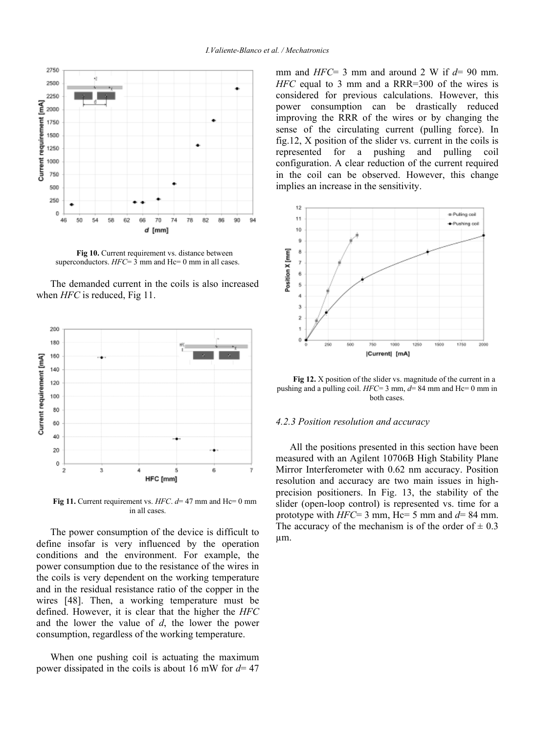

Fig 10. Current requirement vs. distance between superconductors.  $HFC=3$  mm and  $Hc=0$  mm in all cases.

The demanded current in the coils is also increased when *HFC* is reduced, Fig 11.



**Fig 11.** Current requirement vs. *HFC*. *d*= 47 mm and Hc= 0 mm in all cases.

The power consumption of the device is difficult to define insofar is very influenced by the operation conditions and the environment. For example, the power consumption due to the resistance of the wires in the coils is very dependent on the working temperature and in the residual resistance ratio of the copper in the wires [48]. Then, a working temperature must be defined. However, it is clear that the higher the *HFC* and the lower the value of *d*, the lower the power consumption, regardless of the working temperature.

When one pushing coil is actuating the maximum power dissipated in the coils is about 16 mW for *d*= 47 mm and *HFC*= 3 mm and around 2 W if *d*= 90 mm. *HFC* equal to 3 mm and a RRR=300 of the wires is considered for previous calculations. However, this power consumption can be drastically reduced improving the RRR of the wires or by changing the sense of the circulating current (pulling force). In fig.12, X position of the slider vs. current in the coils is represented for a pushing and pulling coil configuration. A clear reduction of the current required in the coil can be observed. However, this change implies an increase in the sensitivity.



**Fig 12.** X position of the slider vs. magnitude of the current in a pushing and a pulling coil. *HFC*= 3 mm, *d*= 84 mm and Hc= 0 mm in both cases.

#### *4.2.3 Position resolution and accuracy*

All the positions presented in this section have been measured with an Agilent 10706B High Stability Plane Mirror Interferometer with 0.62 nm accuracy. Position resolution and accuracy are two main issues in highprecision positioners. In Fig. 13, the stability of the slider (open-loop control) is represented vs. time for a prototype with  $HFC=3$  mm,  $Hc=5$  mm and  $d=84$  mm. The accuracy of the mechanism is of the order of  $\pm$  0.3 µm.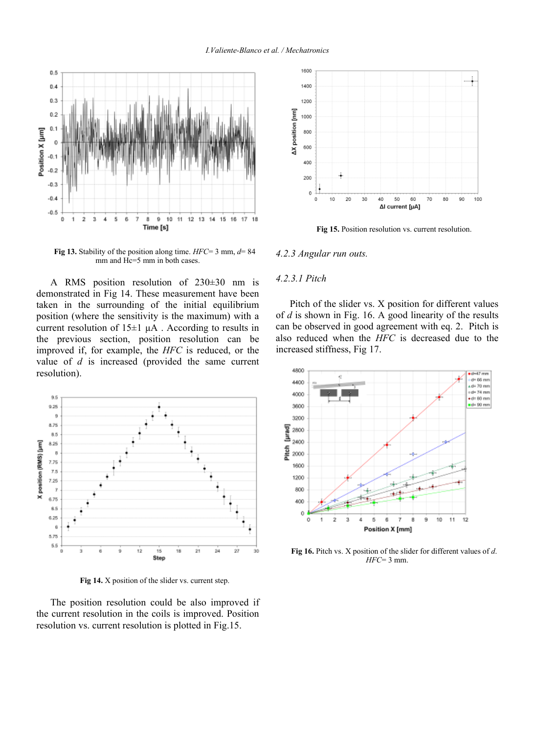

**Fig 13.** Stability of the position along time. *HFC*= 3 mm, *d*= 84 mm and Hc=5 mm in both cases.

A RMS position resolution of 230±30 nm is demonstrated in Fig 14. These measurement have been taken in the surrounding of the initial equilibrium position (where the sensitivity is the maximum) with a current resolution of  $15\pm1$   $\mu$ A. According to results in the previous section, position resolution can be improved if, for example, the *HFC* is reduced, or the value of *d* is increased (provided the same current resolution).



**Fig 14.** X position of the slider vs. current step.

The position resolution could be also improved if the current resolution in the coils is improved. Position resolution vs. current resolution is plotted in Fig.15.



Fig 15. Position resolution vs. current resolution.

#### *4.2.3 Angular run outs.*

#### *4.2.3.1 Pitch*

Pitch of the slider vs. X position for different values of *d* is shown in Fig. 16. A good linearity of the results can be observed in good agreement with eq. 2. Pitch is also reduced when the *HFC* is decreased due to the increased stiffness, Fig 17.



**Fig 16.** Pitch vs. X position of the slider for different values of *d*. *HFC*= 3 mm.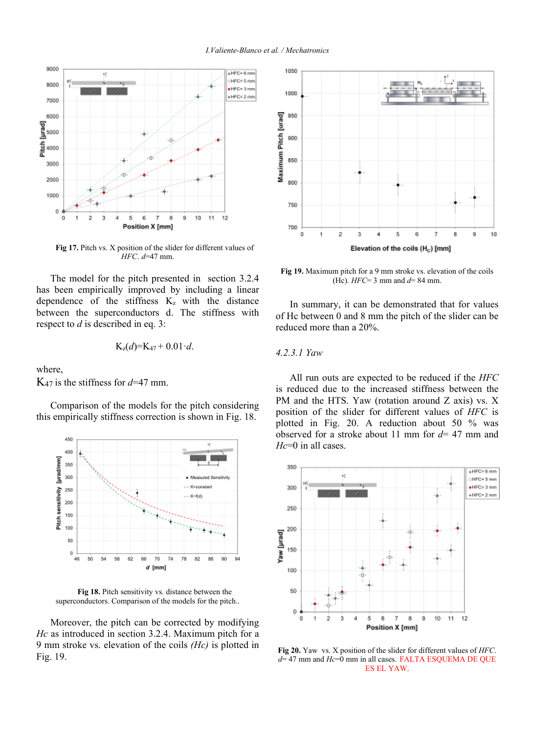

**Fig 17.** Pitch vs. X position of the slider for different values of *HFC*. *d*=47 mm.

The model for the pitch presented in section 3.2.4 has been empirically improved by including a linear dependence of the stiffness  $K_z$  with the distance between the superconductors d. The stiffness with respect to *d* is described in eq. 3:

$$
K_z(d) = K_{47} + 0.01 \cdot d.
$$

where,

 $K_{47}$  is the stiffness for  $d=47$  mm.

Comparison of the models for the pitch considering this empirically stiffness correction is shown in Fig. 18.



**Fig 18.** Pitch sensitivity vs. distance between the superconductors. Comparison of the models for the pitch..

Moreover, the pitch can be corrected by modifying *Hc* as introduced in section 3.2.4. Maximum pitch for a 9 mm stroke vs. elevation of the coils *(Hc)* is plotted in Fig. 19.



**Fig 19.** Maximum pitch for a 9 mm stroke vs. elevation of the coils (Hc). *HFC*= 3 mm and *d*= 84 mm.

In summary, it can be demonstrated that for values of Hc between 0 and 8 mm the pitch of the slider can be reduced more than a 20%.

# *4.2.3.1 Yaw*

All run outs are expected to be reduced if the *HFC* is reduced due to the increased stiffness between the PM and the HTS. Yaw (rotation around Z axis) vs. X position of the slider for different values of *HFC* is plotted in Fig. 20. A reduction about 50 % was observed for a stroke about 11 mm for *d*= 47 mm and *Hc*=0 in all cases.



**Fig 20.** Yaw vs. X position of the slider for different values of *HFC*. *d*= 47 mm and *Hc*=0 mm in all cases. FALTA ESQUEMA DE QUE ES EL YAW.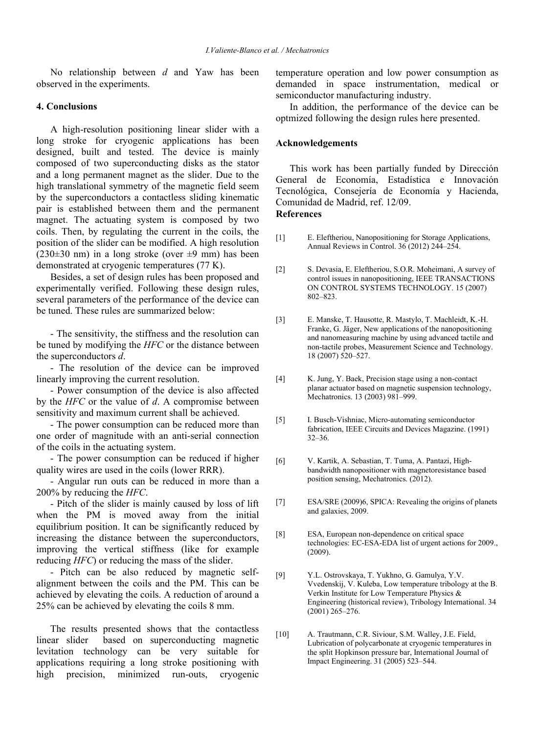No relationship between *d* and Yaw has been observed in the experiments.

# **4. Conclusions**

A high-resolution positioning linear slider with a long stroke for cryogenic applications has been designed, built and tested. The device is mainly composed of two superconducting disks as the stator and a long permanent magnet as the slider. Due to the high translational symmetry of the magnetic field seem by the superconductors a contactless sliding kinematic pair is established between them and the permanent magnet. The actuating system is composed by two coils. Then, by regulating the current in the coils, the position of the slider can be modified. A high resolution  $(230\pm30 \text{ nm})$  in a long stroke (over  $\pm 9 \text{ mm}$ ) has been demonstrated at cryogenic temperatures (77 K).

Besides, a set of design rules has been proposed and experimentally verified. Following these design rules, several parameters of the performance of the device can be tuned. These rules are summarized below:

- The sensitivity, the stiffness and the resolution can be tuned by modifying the *HFC* or the distance between the superconductors *d*.

- The resolution of the device can be improved linearly improving the current resolution.

- Power consumption of the device is also affected by the *HFC* or the value of *d*. A compromise between sensitivity and maximum current shall be achieved.

- The power consumption can be reduced more than one order of magnitude with an anti-serial connection of the coils in the actuating system.

- The power consumption can be reduced if higher quality wires are used in the coils (lower RRR).

- Angular run outs can be reduced in more than a 200% by reducing the *HFC*.

- Pitch of the slider is mainly caused by loss of lift when the PM is moved away from the initial equilibrium position. It can be significantly reduced by increasing the distance between the superconductors, improving the vertical stiffness (like for example reducing *HFC*) or reducing the mass of the slider.

- Pitch can be also reduced by magnetic selfalignment between the coils and the PM. This can be achieved by elevating the coils. A reduction of around a 25% can be achieved by elevating the coils 8 mm.

The results presented shows that the contactless linear slider based on superconducting magnetic levitation technology can be very suitable for applications requiring a long stroke positioning with high precision, minimized run-outs, cryogenic temperature operation and low power consumption as demanded in space instrumentation, medical or semiconductor manufacturing industry.

In addition, the performance of the device can be optmized following the design rules here presented.

# **Acknowledgements**

This work has been partially funded by Dirección General de Economía, Estadística e Innovación Tecnológica, Consejería de Economía y Hacienda, Comunidad de Madrid, ref. 12/09. **References**

- [1] E. Eleftheriou, Nanopositioning for Storage Applications, Annual Reviews in Control. 36 (2012) 244–254.
- [2] S. Devasia, E. Eleftheriou, S.O.R. Moheimani, A survey of control issues in nanopositioning, IEEE TRANSACTIONS ON CONTROL SYSTEMS TECHNOLOGY. 15 (2007) 802–823.
- [3] E. Manske, T. Hausotte, R. Mastylo, T. Machleidt, K.-H. Franke, G. Jäger, New applications of the nanopositioning and nanomeasuring machine by using advanced tactile and non-tactile probes, Measurement Science and Technology. 18 (2007) 520–527.
- [4] K. Jung, Y. Baek, Precision stage using a non-contact planar actuator based on magnetic suspension technology, Mechatronics. 13 (2003) 981–999.
- [5] I. Busch-Vishniac, Micro-automating semiconductor fabrication, IEEE Circuits and Devices Magazine. (1991) 32–36.
- [6] V. Kartik, A. Sebastian, T. Tuma, A. Pantazi, Highbandwidth nanopositioner with magnetoresistance based position sensing, Mechatronics. (2012).
- [7] ESA/SRE (2009)6, SPICA: Revealing the origins of planets and galaxies, 2009.
- [8] ESA, European non-dependence on critical space technologies: EC-ESA-EDA list of urgent actions for 2009., (2009).
- [9] Y.L. Ostrovskaya, T. Yukhno, G. Gamulya, Y.V. Vvedenskij, V. Kuleba, Low temperature tribology at the B. Verkin Institute for Low Temperature Physics & Engineering (historical review), Tribology International. 34 (2001) 265–276.
- [10] A. Trautmann, C.R. Siviour, S.M. Walley, J.E. Field, Lubrication of polycarbonate at cryogenic temperatures in the split Hopkinson pressure bar, International Journal of Impact Engineering. 31 (2005) 523–544.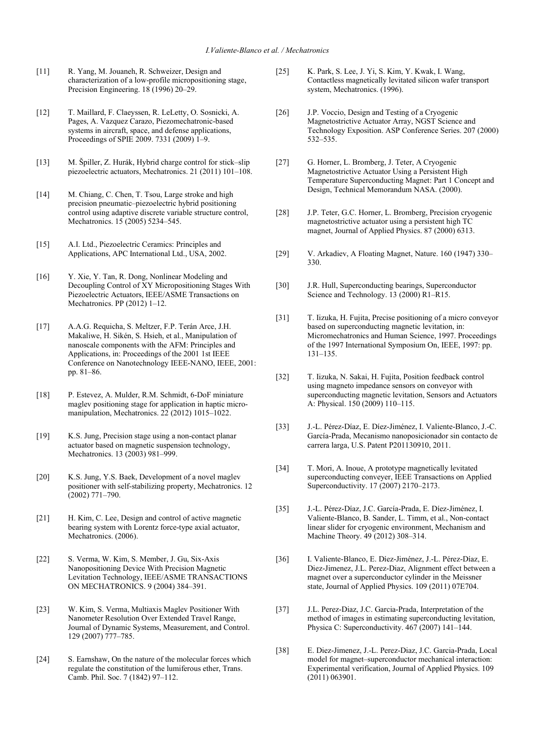- [11] R. Yang, M. Jouaneh, R. Schweizer, Design and characterization of a low-profile micropositioning stage, Precision Engineering. 18 (1996) 20–29.
- [12] T. Maillard, F. Claeyssen, R. LeLetty, O. Sosnicki, A. Pages, A. Vazquez Carazo, Piezomechatronic-based systems in aircraft, space, and defense applications, Proceedings of SPIE 2009. 7331 (2009) 1–9.
- [13] M. Špiller, Z. Hurák, Hybrid charge control for stick–slip piezoelectric actuators, Mechatronics. 21 (2011) 101–108.
- [14] M. Chiang, C. Chen, T. Tsou, Large stroke and high precision pneumatic–piezoelectric hybrid positioning control using adaptive discrete variable structure control, Mechatronics. 15 (2005) 5234–545.
- [15] A.I. Ltd., Piezoelectric Ceramics: Principles and Applications, APC International Ltd., USA, 2002.
- [16] Y. Xie, Y. Tan, R. Dong, Nonlinear Modeling and Decoupling Control of XY Micropositioning Stages With Piezoelectric Actuators, IEEE/ASME Transactions on Mechatronics. PP (2012) 1–12.
- [17] A.A.G. Requicha, S. Meltzer, F.P. Terán Arce, J.H. Makaliwe, H. Sikén, S. Hsieh, et al., Manipulation of nanoscale components with the AFM: Principles and Applications, in: Proceedings of the 2001 1st IEEE Conference on Nanotechnology IEEE-NANO, IEEE, 2001: pp. 81–86.
- [18] P. Estevez, A. Mulder, R.M. Schmidt, 6-DoF miniature maglev positioning stage for application in haptic micromanipulation, Mechatronics. 22 (2012) 1015–1022.
- [19] K.S. Jung, Precision stage using a non-contact planar actuator based on magnetic suspension technology, Mechatronics. 13 (2003) 981–999.
- [20] K.S. Jung, Y.S. Baek, Development of a novel maglev positioner with self-stabilizing property, Mechatronics. 12 (2002) 771–790.
- [21] H. Kim, C. Lee, Design and control of active magnetic bearing system with Lorentz force-type axial actuator, Mechatronics. (2006).
- [22] S. Verma, W. Kim, S. Member, J. Gu, Six-Axis Nanopositioning Device With Precision Magnetic Levitation Technology, IEEE/ASME TRANSACTIONS ON MECHATRONICS. 9 (2004) 384–391.
- [23] W. Kim, S. Verma, Multiaxis Maglev Positioner With Nanometer Resolution Over Extended Travel Range, Journal of Dynamic Systems, Measurement, and Control. 129 (2007) 777–785.
- [24] S. Earnshaw, On the nature of the molecular forces which regulate the constitution of the lumiferous ether, Trans. Camb. Phil. Soc. 7 (1842) 97–112.
- [25] K. Park, S. Lee, J. Yi, S. Kim, Y. Kwak, I. Wang, Contactless magnetically levitated silicon wafer transport system, Mechatronics. (1996).
- [26] J.P. Voccio, Design and Testing of a Cryogenic Magnetostrictive Actuator Array, NGST Science and Technology Exposition. ASP Conference Series. 207 (2000) 532–535.
- [27] G. Horner, L. Bromberg, J. Teter, A Cryogenic Magnetostrictive Actuator Using a Persistent High Temperature Superconducting Magnet: Part 1 Concept and Design, Technical Memorandum NASA. (2000).
- [28] J.P. Teter, G.C. Horner, L. Bromberg, Precision cryogenic magnetostrictive actuator using a persistent high TC magnet, Journal of Applied Physics. 87 (2000) 6313.
- [29] V. Arkadiev, A Floating Magnet, Nature. 160 (1947) 330– 330.
- [30] J.R. Hull, Superconducting bearings, Superconductor Science and Technology. 13 (2000) R1-R15.
- [31] T. Iizuka, H. Fujita, Precise positioning of a micro conveyor based on superconducting magnetic levitation, in: Micromechatronics and Human Science, 1997. Proceedings of the 1997 International Symposium On, IEEE, 1997: pp. 131–135.
- [32] T. Iizuka, N. Sakai, H. Fujita, Position feedback control using magneto impedance sensors on conveyor with superconducting magnetic levitation, Sensors and Actuators A: Physical. 150 (2009) 110–115.
- [33] J.-L. Pérez-Díaz, E. Díez-Jiménez, I. Valiente-Blanco, J.-C. García-Prada, Mecanismo nanoposicionador sin contacto de carrera larga, U.S. Patent P201130910, 2011.
- [34] T. Mori, A. Inoue, A prototype magnetically levitated superconducting conveyer, IEEE Transactions on Applied Superconductivity. 17 (2007) 2170–2173.
- [35] J.-L. Pérez-Díaz, J.C. García-Prada, E. Díez-Jiménez, I. Valiente-Blanco, B. Sander, L. Timm, et al., Non-contact linear slider for cryogenic environment, Mechanism and Machine Theory. 49 (2012) 308–314.
- [36] I. Valiente-Blanco, E. Díez-Jiménez, J.-L. Pérez-Díaz, E. Diez-Jimenez, J.L. Perez-Diaz, Alignment effect between a magnet over a superconductor cylinder in the Meissner state, Journal of Applied Physics. 109 (2011) 07E704.
- [37] J.L. Perez-Diaz, J.C. Garcia-Prada, Interpretation of the method of images in estimating superconducting levitation, Physica C: Superconductivity. 467 (2007) 141–144.
- [38] E. Diez-Jimenez, J.-L. Perez-Diaz, J.C. Garcia-Prada, Local model for magnet–superconductor mechanical interaction: Experimental verification, Journal of Applied Physics. 109  $(2011) 063901.$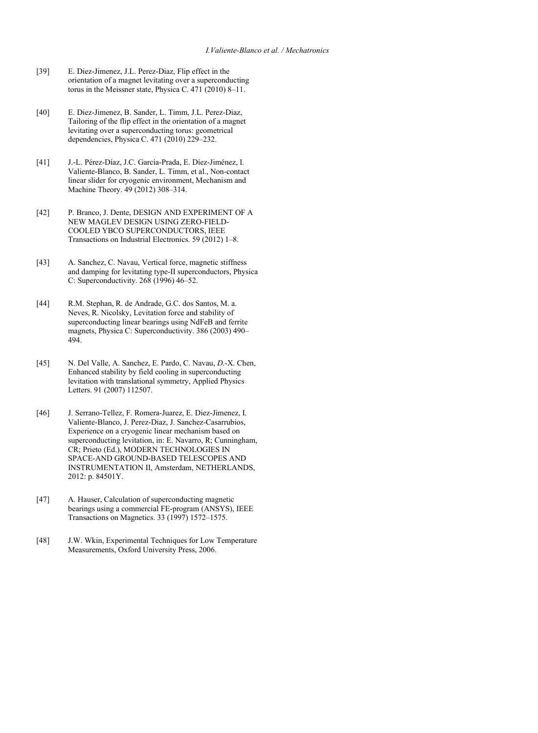- [39] E. Diez-Jimenez, J.L. Perez-Diaz, Flip effect in the orientation of a magnet levitating over a superconducting torus in the Meissner state, Physica C. 471 (2010) 8–11.
- [40] E. Diez-Jimenez, B. Sander, L. Timm, J.L. Perez-Diaz, Tailoring of the flip effect in the orientation of a magnet levitating over a superconducting torus: geometrical dependencies, Physica C. 471 (2010) 229–232.
- [41] J.-L. Pérez-Díaz, J.C. García-Prada, E. Díez-Jiménez, I. Valiente-Blanco, B. Sander, L. Timm, et al., Non-contact linear slider for cryogenic environment, Mechanism and Machine Theory. 49 (2012) 308–314.
- [42] P. Branco, J. Dente, DESIGN AND EXPERIMENT OF A NEW MAGLEV DESIGN USING ZERO-FIELD-COOLED YBCO SUPERCONDUCTORS, IEEE Transactions on Industrial Electronics. 59 (2012) 1–8.
- [43] A. Sanchez, C. Navau, Vertical force, magnetic stiffness and damping for levitating type-II superconductors, Physica C: Superconductivity. 268 (1996) 46–52.
- [44] R.M. Stephan, R. de Andrade, G.C. dos Santos, M. a. Neves, R. Nicolsky, Levitation force and stability of superconducting linear bearings using NdFeB and ferrite magnets, Physica C: Superconductivity. 386 (2003) 490– 494.
- [45] N. Del Valle, A. Sanchez, E. Pardo, C. Navau, *D*.-X. Chen, Enhanced stability by field cooling in superconducting levitation with translational symmetry, Applied Physics Letters. 91 (2007) 112507.
- [46] J. Serrano-Tellez, F. Romera-Juarez, E. Diez-Jimenez, I. Valiente-Blanco, J. Perez-Diaz, J. Sanchez-Casarrubios, Experience on a cryogenic linear mechanism based on superconducting levitation, in: E. Navarro, R; Cunningham, CR; Prieto (Ed.), MODERN TECHNOLOGIES IN SPACE-AND GROUND-BASED TELESCOPES AND INSTRUMENTATION II, Amsterdam, NETHERLANDS, 2012: p. 84501Y.
- [47] A. Hauser, Calculation of superconducting magnetic bearings using a commercial FE-program (ANSYS), IEEE Transactions on Magnetics. 33 (1997) 1572–1575.
- [48] J.W. Wkin, Experimental Techniques for Low Temperature Measurements, Oxford University Press, 2006.